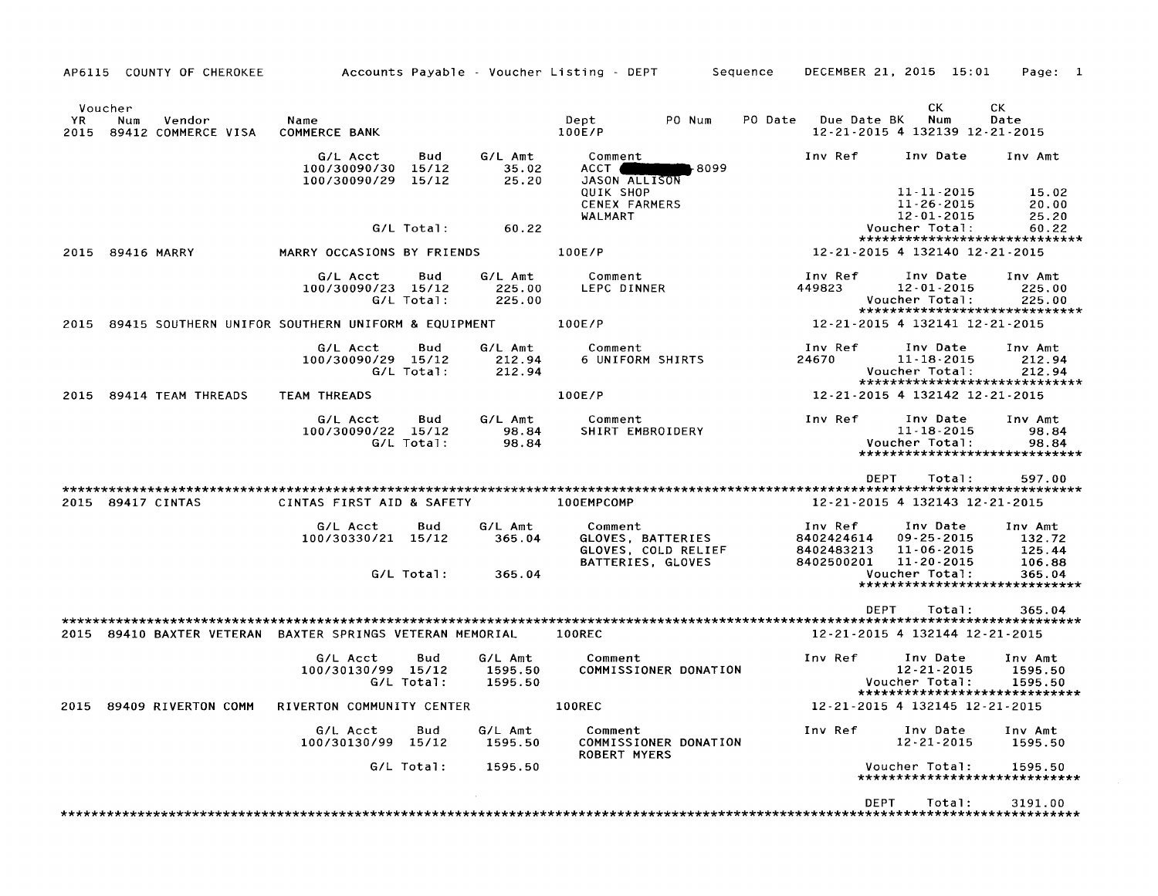AP6115 COUNTY OF CHEROKEE Accounts Payable - Voucher Listing - DEPT Sequence DECEMBER 21, 2015 15:01 Page: 1

| YR.<br>2015 | Voucher<br>Num<br>Vendor<br>89412 COMMERCE VISA           | Name<br><b>COMMERCE BANK</b>                       |                       |                               | Dept<br>PO Num<br>100E/P                                                 | PO Date<br>Due Date BK                            | cк<br>Num<br>12-21-2015 4 132139 12-21-2015                                      | CK.<br>Date                           |  |  |
|-------------|-----------------------------------------------------------|----------------------------------------------------|-----------------------|-------------------------------|--------------------------------------------------------------------------|---------------------------------------------------|----------------------------------------------------------------------------------|---------------------------------------|--|--|
|             |                                                           | G/L Acct<br>100/30090/30<br>100/30090/29           | Bud<br>15/12<br>15/12 | G/L Amt<br>35.02<br>25.20     | Comment<br>ACCT (<br>68099 ⊦<br>JASON ALLISON                            | Inv Ref                                           | Inv Date                                                                         | Inv Amt                               |  |  |
|             |                                                           |                                                    |                       |                               | <b>QUIK SHOP</b><br><b>CENEX FARMERS</b><br>WALMART                      |                                                   | 11-11-2015<br>$11 - 26 - 2015$<br>$12 - 01 - 2015$                               | 15.02<br>20.00<br>25.20               |  |  |
|             |                                                           |                                                    | G/L Total:            | 60.22                         |                                                                          |                                                   | Voucher Total:<br>*****************************                                  | 60.22                                 |  |  |
| 2015        | 89416 MARRY                                               | MARRY OCCASIONS BY FRIENDS                         |                       |                               | 100E/P                                                                   |                                                   | 12-21-2015 4 132140 12-21-2015                                                   |                                       |  |  |
|             |                                                           | G/L Acct<br>100/30090/23 15/12                     | Bud<br>$G/L$ Total:   | G/L Amt<br>225.00<br>225.00   | Comment<br>LEPC DINNER                                                   | Inv Ref<br>449823                                 | Inv Date<br>$12 - 01 - 2015$<br>Voucher Total:                                   | Inv Amt<br>225.00<br>225.00           |  |  |
| 2015        |                                                           | 89415 SOUTHERN UNIFOR SOUTHERN UNIFORM & EQUIPMENT |                       |                               | 100E/P                                                                   |                                                   | *****************************<br>12-21-2015 4 132141 12-21-2015                  |                                       |  |  |
|             |                                                           | G/L Acct<br>100/30090/29 15/12                     | Bud<br>G/L Total:     | G/L Amt<br>212.94<br>212.94   | Comment<br>6 UNIFORM SHIRTS                                              | Inv Ref<br>24670                                  | Inv Date<br>$11 - 18 - 2015$<br>Voucher Total:<br>*****************************  | Inv Amt<br>212.94<br>212.94           |  |  |
| 2015        | 89414 TEAM THREADS                                        | TEAM THREADS                                       |                       |                               | 100E/P                                                                   |                                                   | 12-21-2015 4 132142 12-21-2015                                                   |                                       |  |  |
|             |                                                           | G/L Acct<br>100/30090/22 15/12                     | Bud<br>G/L Total:     | G/L Amt<br>98.84<br>98.84     | Comment<br>SHIRT EMBROIDERY                                              | Inv Ref                                           | Inv Date<br>$11 - 18 - 2015$<br>Voucher Total:<br>****************************** | Inv Amt<br>98.84<br>98.84             |  |  |
|             |                                                           |                                                    |                       |                               |                                                                          | <b>DEPT</b>                                       | Total:                                                                           | 597.00                                |  |  |
|             | 2015 89417 CINTAS<br>CINTAS FIRST AID & SAFETY            |                                                    |                       |                               | 100EMPCOMP                                                               | 12-21-2015 4 132143 12-21-2015                    |                                                                                  |                                       |  |  |
|             |                                                           | G/L Acct<br>100/30330/21 15/12                     | Bud                   | G/L Amt<br>365.04             | Comment<br>GLOVES, BATTERIES<br>GLOVES, COLD RELIEF<br>BATTERIES, GLOVES | Inv Ref<br>8402424614<br>8402483213<br>8402500201 | Inv Date<br>09 25 2015<br>11-06-2015<br>$11 - 20 - 2015$                         | Inv Amt<br>132.72<br>125.44<br>106.88 |  |  |
|             |                                                           |                                                    | G/L Total:            | 365.04                        |                                                                          |                                                   | Voucher Total:<br>*****************************                                  | 365.04                                |  |  |
|             |                                                           |                                                    |                       |                               |                                                                          | DEPT                                              | Total:                                                                           | 365.04                                |  |  |
|             | 2015 89410 BAXTER VETERAN BAXTER SPRINGS VETERAN MEMORIAL |                                                    |                       |                               | 100REC                                                                   |                                                   | 12-21-2015 4 132144 12-21-2015                                                   |                                       |  |  |
|             |                                                           |                                                    |                       |                               |                                                                          |                                                   |                                                                                  |                                       |  |  |
|             |                                                           |                                                    |                       |                               |                                                                          |                                                   |                                                                                  |                                       |  |  |
|             |                                                           | G/L Acct<br>100/30130/99 15/12                     | Bud<br>G/L Total:     | G/L Amt<br>1595.50<br>1595.50 | Comment<br>COMMISSIONER DONATION                                         | Inv Ref                                           | Inv Date<br>$12 - 21 - 2015$<br>Voucher Total:                                   | Inv Amt<br>1595.50<br>1595.50         |  |  |
| 2015        | 89409 RIVERTON COMM                                       | RIVERTON COMMUNITY CENTER                          |                       |                               | 100REC                                                                   |                                                   | *****************************<br>12-21-2015 4 132145 12-21-2015                  |                                       |  |  |
|             |                                                           |                                                    |                       |                               |                                                                          |                                                   |                                                                                  |                                       |  |  |
|             |                                                           | G/L Acct<br>100/30130/99 15/12                     | Bud                   | G/L Amt<br>1595.50            | Comment<br>COMMISSIONER DONATION                                         | Inv Ref                                           | Inv Date<br>$12 - 21 - 2015$                                                     | Inv Amt<br>1595.50                    |  |  |
|             |                                                           |                                                    | G/L Total:            | 1595.50                       | <b>ROBERT MYERS</b>                                                      |                                                   | Voucher Total:<br>*****************************                                  | 1595.50                               |  |  |